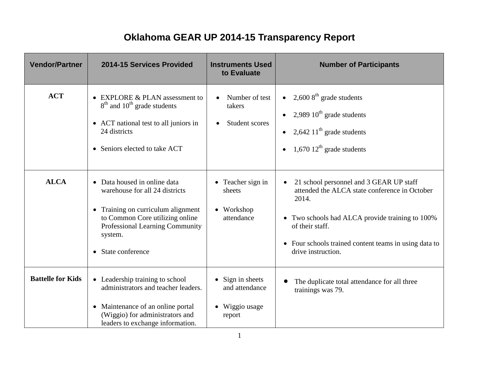## **Oklahoma GEAR UP 2014-15 Transparency Report**

| <b>Vendor/Partner</b>     | 2014-15 Services Provided                                                                                                                                                                                                                                                                                                                                                                        | <b>Instruments Used</b><br>to Evaluate                                                                                    | <b>Number of Participants</b>                                                                                                                                                                                                                                                                                                                                                                                                                                           |
|---------------------------|--------------------------------------------------------------------------------------------------------------------------------------------------------------------------------------------------------------------------------------------------------------------------------------------------------------------------------------------------------------------------------------------------|---------------------------------------------------------------------------------------------------------------------------|-------------------------------------------------------------------------------------------------------------------------------------------------------------------------------------------------------------------------------------------------------------------------------------------------------------------------------------------------------------------------------------------------------------------------------------------------------------------------|
| <b>ACT</b><br><b>ALCA</b> | • EXPLORE & PLAN assessment to<br>$8th$ and $10th$ grade students<br>• ACT national test to all juniors in<br>24 districts<br>• Seniors elected to take ACT<br>• Data housed in online data<br>warehouse for all 24 districts<br>Training on curriculum alignment<br>$\bullet$<br>to Common Core utilizing online<br>Professional Learning Community<br>system.<br>State conference<br>$\bullet$ | Number of test<br>takers<br><b>Student scores</b><br>$\bullet$<br>• Teacher sign in<br>sheets<br>• Workshop<br>attendance | • 2,600 $8^{\text{th}}$ grade students<br>2,989 $10^{\text{th}}$ grade students<br>$\bullet$<br>2,642 $11th$ grade students<br>$\bullet$<br>$1,670$ $12^{\text{th}}$ grade students<br>$\bullet$<br>21 school personnel and 3 GEAR UP staff<br>$\bullet$<br>attended the ALCA state conference in October<br>2014.<br>• Two schools had ALCA provide training to 100%<br>of their staff.<br>• Four schools trained content teams in using data to<br>drive instruction. |
| <b>Battelle for Kids</b>  | • Leadership training to school<br>administrators and teacher leaders.<br>• Maintenance of an online portal<br>(Wiggio) for administrators and<br>leaders to exchange information.                                                                                                                                                                                                               | $\bullet$ Sign in sheets<br>and attendance<br>Wiggio usage<br>report                                                      | The duplicate total attendance for all three<br>trainings was 79.                                                                                                                                                                                                                                                                                                                                                                                                       |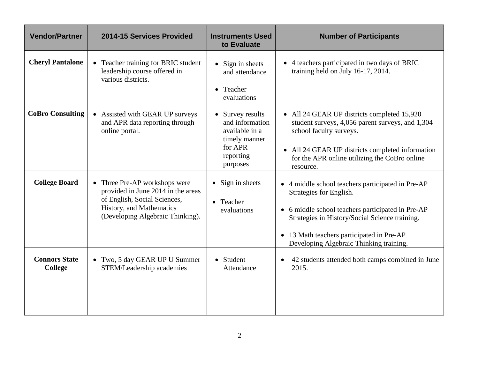| <b>Vendor/Partner</b>                  | 2014-15 Services Provided                                                                                                                                           | <b>Instruments Used</b><br>to Evaluate                                                                   | <b>Number of Participants</b>                                                                                                                                                                                                                                               |
|----------------------------------------|---------------------------------------------------------------------------------------------------------------------------------------------------------------------|----------------------------------------------------------------------------------------------------------|-----------------------------------------------------------------------------------------------------------------------------------------------------------------------------------------------------------------------------------------------------------------------------|
| <b>Cheryl Pantalone</b>                | • Teacher training for BRIC student<br>leadership course offered in<br>various districts.                                                                           | $\bullet$ Sign in sheets<br>and attendance<br>• Teacher<br>evaluations                                   | • 4 teachers participated in two days of BRIC<br>training held on July 16-17, 2014.                                                                                                                                                                                         |
| <b>CoBro Consulting</b>                | • Assisted with GEAR UP surveys<br>and APR data reporting through<br>online portal.                                                                                 | Survey results<br>and information<br>available in a<br>timely manner<br>for APR<br>reporting<br>purposes | • All 24 GEAR UP districts completed 15,920<br>student surveys, 4,056 parent surveys, and 1,304<br>school faculty surveys.<br>• All 24 GEAR UP districts completed information<br>for the APR online utilizing the CoBro online<br>resource.                                |
| <b>College Board</b>                   | • Three Pre-AP workshops were<br>provided in June 2014 in the areas<br>of English, Social Sciences,<br>History, and Mathematics<br>(Developing Algebraic Thinking). | $\bullet$ Sign in sheets<br>• Teacher<br>evaluations                                                     | • 4 middle school teachers participated in Pre-AP<br>Strategies for English.<br>• 6 middle school teachers participated in Pre-AP<br>Strategies in History/Social Science training.<br>• 13 Math teachers participated in Pre-AP<br>Developing Algebraic Thinking training. |
| <b>Connors State</b><br><b>College</b> | • Two, 5 day GEAR UP U Summer<br>STEM/Leadership academies                                                                                                          | • Student<br>Attendance                                                                                  | 42 students attended both camps combined in June<br>$\bullet$<br>2015.                                                                                                                                                                                                      |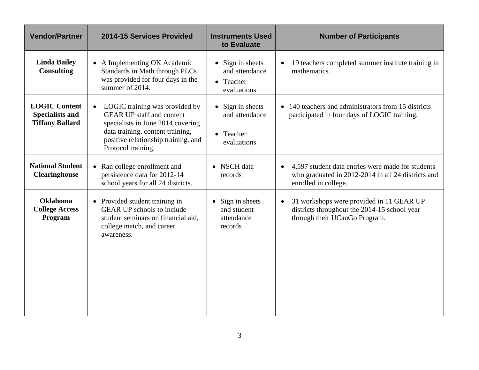| <b>Vendor/Partner</b>                                                    | 2014-15 Services Provided                                                                                                                                                                                             | <b>Instruments Used</b><br>to Evaluate                                 | <b>Number of Participants</b>                                                                                                   |
|--------------------------------------------------------------------------|-----------------------------------------------------------------------------------------------------------------------------------------------------------------------------------------------------------------------|------------------------------------------------------------------------|---------------------------------------------------------------------------------------------------------------------------------|
| <b>Linda Bailey</b><br><b>Consulting</b>                                 | • A Implementing OK Academic<br><b>Standards in Math through PLCs</b><br>was provided for four days in the<br>summer of 2014.                                                                                         | $\bullet$ Sign in sheets<br>and attendance<br>• Teacher<br>evaluations | 19 teachers completed summer institute training in<br>mathematics.                                                              |
| <b>LOGIC Content</b><br><b>Specialists and</b><br><b>Tiffany Ballard</b> | LOGIC training was provided by<br>$\bullet$<br><b>GEAR UP staff and content</b><br>specialists in June 2014 covering<br>data training, content training,<br>positive relationship training, and<br>Protocol training. | $\bullet$ Sign in sheets<br>and attendance<br>• Teacher<br>evaluations | • 140 teachers and administrators from 15 districts<br>participated in four days of LOGIC training.                             |
| <b>National Student</b><br><b>Clearinghouse</b>                          | • Ran college enrollment and<br>persistence data for 2012-14<br>school years for all 24 districts.                                                                                                                    | • NSCH data<br>records                                                 | 4,597 student data entries were made for students<br>who graduated in 2012-2014 in all 24 districts and<br>enrolled in college. |
| <b>Oklahoma</b><br><b>College Access</b><br>Program                      | • Provided student training in<br><b>GEAR UP</b> schools to include<br>student seminars on financial aid,<br>college match, and career<br>awareness.                                                                  | Sign in sheets<br>and student<br>attendance<br>records                 | 31 workshops were provided in 11 GEAR UP<br>districts throughout the 2014-15 school year<br>through their UCanGo Program.       |